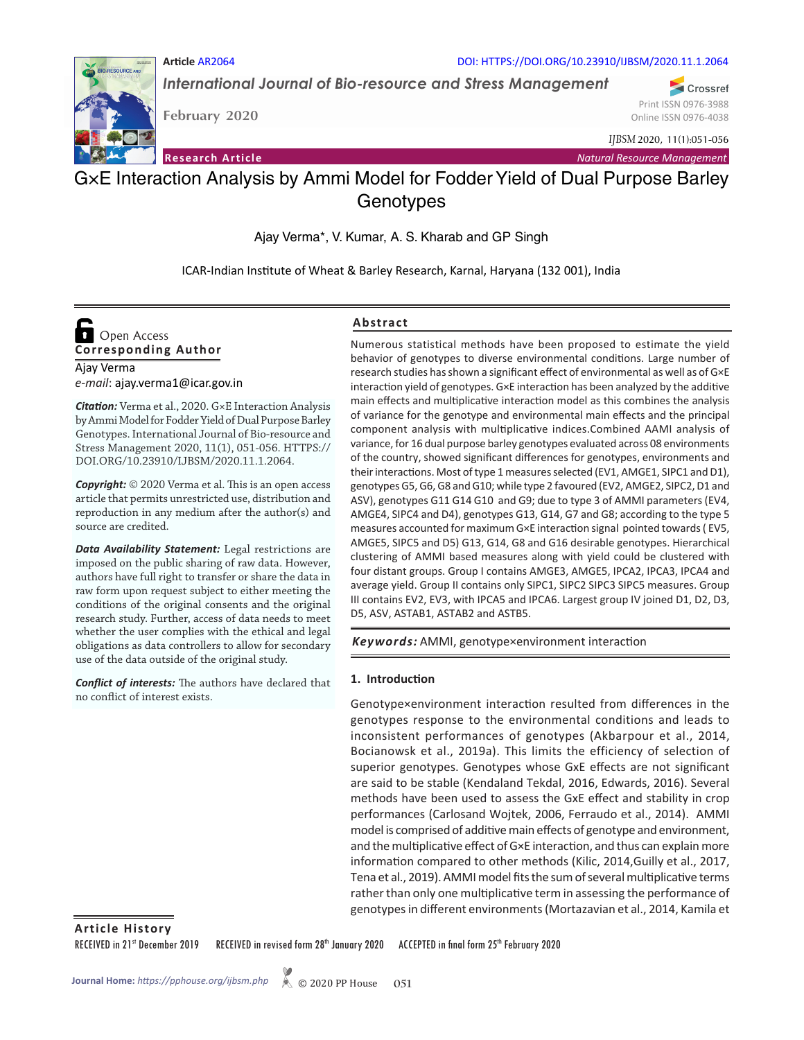

*International Journal of Bio-resource and Stress Management*

DOI: HTTPS://DOI.ORG/10.23910/IJBSM/2020.11.1.2064

Crossref Print ISSN 0976-3988 Online ISSN 0976-4038

*IJBSM* 2020, 11(1):051-056

**February 2020**

**Article** AR2064

**Research Article** *Natural Resource Management*

## G×E Interaction Analysis by Ammi Model for Fodder Yield of Dual Purpose Barley **Genotypes**

Ajay Verma\*, V. Kumar, A. S. Kharab and GP Singh

ICAR-Indian Institute of Wheat & Barley Research, Karnal, Haryana (132 001), India

# **Corresponding Author**  Open Access

Ajay Verma *e-mail*: ajay.verma1@icar.gov.in

*Citation:* Verma et al., 2020. G×E Interaction Analysis by Ammi Model for Fodder Yield of Dual Purpose Barley Genotypes. International Journal of Bio-resource and Stress Management 2020, 11(1), 051-056. HTTPS:// DOI.ORG/10.23910/IJBSM/2020.11.1.2064.

*Copyright:* © 2020 Verma et al. This is an open access article that permits unrestricted use, distribution and reproduction in any medium after the author(s) and source are credited.

*Data Availability Statement:* Legal restrictions are imposed on the public sharing of raw data. However, authors have full right to transfer or share the data in raw form upon request subject to either meeting the conditions of the original consents and the original research study. Further, access of data needs to meet whether the user complies with the ethical and legal obligations as data controllers to allow for secondary use of the data outside of the original study.

*Conflict of interests:* The authors have declared that no conflict of interest exists.

## **Abstract**

Numerous statistical methods have been proposed to estimate the yield behavior of genotypes to diverse environmental conditions. Large number of research studies has shown a significant effect of environmental as well as of G×E interaction yield of genotypes. G×E interaction has been analyzed by the additive main effects and multiplicative interaction model as this combines the analysis of variance for the genotype and environmental main effects and the principal component analysis with multiplicative indices.Combined AAMI analysis of variance, for 16 dual purpose barley genotypes evaluated across 08 environments of the country, showed significant differences for genotypes, environments and their interactions. Most of type 1 measures selected (EV1, AMGE1, SIPC1 and D1), genotypes G5, G6, G8 and G10; while type 2 favoured (EV2, AMGE2, SIPC2, D1 and ASV), genotypes G11 G14 G10 and G9; due to type 3 of AMMI parameters (EV4, AMGE4, SIPC4 and D4), genotypes G13, G14, G7 and G8; according to the type 5 measures accounted for maximum G×E interaction signal pointed towards ( EV5, AMGE5, SIPC5 and D5) G13, G14, G8 and G16 desirable genotypes. Hierarchical clustering of AMMI based measures along with yield could be clustered with four distant groups. Group I contains AMGE3, AMGE5, IPCA2, IPCA3, IPCA4 and average yield. Group II contains only SIPC1, SIPC2 SIPC3 SIPC5 measures. Group III contains EV2, EV3, with IPCA5 and IPCA6. Largest group IV joined D1, D2, D3, D5, ASV, ASTAB1, ASTAB2 and ASTB5.

*Keywords:* AMMI, genotype×environment interaction

## **1. Introduction**

Genotype×environment interaction resulted from differences in the genotypes response to the environmental conditions and leads to inconsistent performances of genotypes (Akbarpour et al., 2014, Bocianowsk et al., 2019a). This limits the efficiency of selection of superior genotypes. Genotypes whose GxE effects are not significant are said to be stable (Kendaland Tekdal, 2016, Edwards, 2016). Several methods have been used to assess the GxE effect and stability in crop performances (Carlosand Wojtek, 2006, Ferraudo et al., 2014). AMMI model is comprised of additive main effects of genotype and environment, and the multiplicative effect of G×E interaction, and thus can explain more information compared to other methods (Kilic, 2014,Guilly et al., 2017, Tena et al., 2019). AMMI model fits the sum of several multiplicative terms rather than only one multiplicative term in assessing the performance of genotypes in different environments (Mortazavian et al., 2014, Kamila et

**Article History**

RECEIVED in 21st December 2019 RECEIVED in revised form 28th January 2020 ACCEPTED in final form 25th February 2020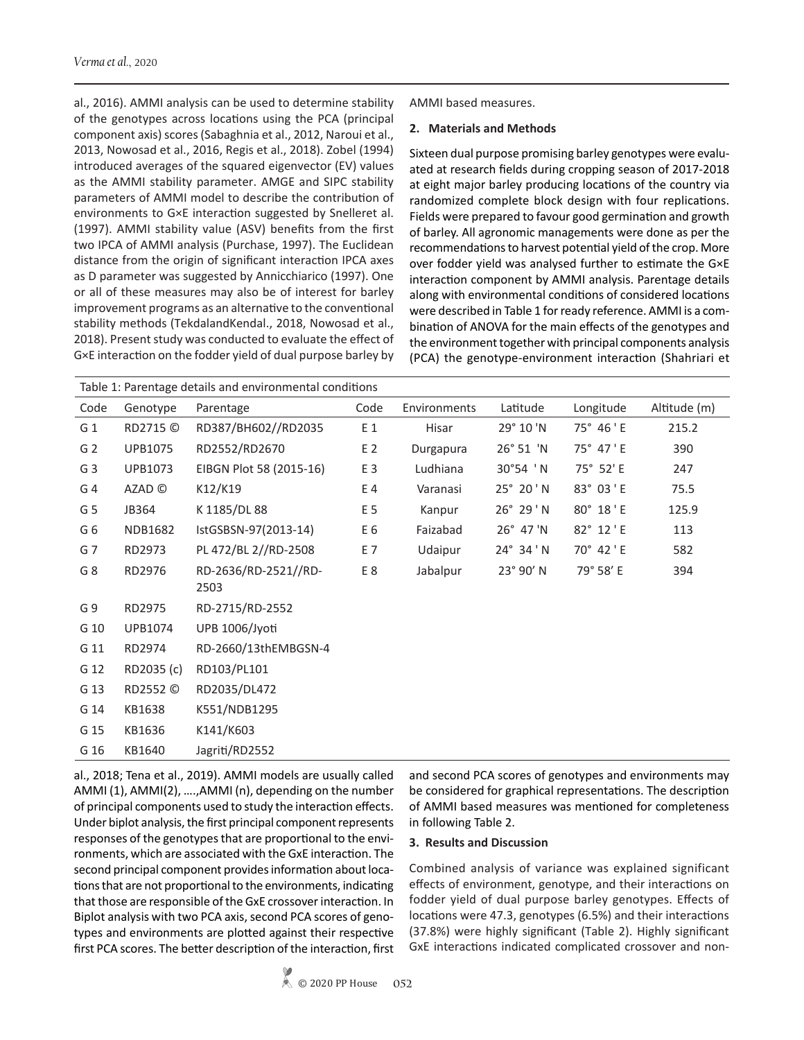al., 2016). AMMI analysis can be used to determine stability of the genotypes across locations using the PCA (principal component axis) scores (Sabaghnia et al., 2012, Naroui et al., 2013, Nowosad et al., 2016, Regis et al., 2018). Zobel (1994) introduced averages of the squared eigenvector (EV) values as the AMMI stability parameter. AMGE and SIPC stability parameters of AMMI model to describe the contribution of environments to G×E interaction suggested by Snelleret al. (1997). AMMI stability value (ASV) benefits from the first two IPCA of AMMI analysis (Purchase, 1997). The Euclidean distance from the origin of significant interaction IPCA axes as D parameter was suggested by Annicchiarico (1997). One or all of these measures may also be of interest for barley improvement programs as an alternative to the conventional stability methods (TekdalandKendal., 2018, Nowosad et al., 2018). Present study was conducted to evaluate the effect of G×E interaction on the fodder yield of dual purpose barley by

AMMI based measures.

#### **2. Materials and Methods**

Sixteen dual purpose promising barley genotypes were evaluated at research fields during cropping season of 2017-2018 at eight major barley producing locations of the country via randomized complete block design with four replications. Fields were prepared to favour good germination and growth of barley. All agronomic managements were done as per the recommendations to harvest potential yield of the crop. More over fodder yield was analysed further to estimate the G×E interaction component by AMMI analysis. Parentage details along with environmental conditions of considered locations were described in Table 1 for ready reference. AMMI is a combination of ANOVA for the main effects of the genotypes and the environment together with principal components analysis (PCA) the genotype-environment interaction (Shahriari et

| Table 1: Parentage details and environmental conditions |                |                         |      |              |                    |           |              |  |
|---------------------------------------------------------|----------------|-------------------------|------|--------------|--------------------|-----------|--------------|--|
| Code                                                    | Genotype       | Parentage               | Code | Environments | Latitude           | Longitude | Altitude (m) |  |
| G <sub>1</sub>                                          | RD2715 ©       | RD387/BH602//RD2035     | E 1  | Hisar        | 29° 10 'N          | 75° 46 'E | 215.2        |  |
| G <sub>2</sub>                                          | <b>UPB1075</b> | RD2552/RD2670           | E 2  | Durgapura    | 26° 51 'N          | 75° 47 'E | 390          |  |
| G <sub>3</sub>                                          | UPB1073        | EIBGN Plot 58 (2015-16) | E 3  | Ludhiana     | 30°54 'N           | 75° 52' E | 247          |  |
| G <sub>4</sub>                                          | AZAD ©         | K12/K19                 | E 4  | Varanasi     | $25^{\circ} 20' N$ | 83° 03 'E | 75.5         |  |
| G <sub>5</sub>                                          | JB364          | K 1185/DL 88            | E 5  | Kanpur       | $26^{\circ} 29' N$ | 80° 18'E  | 125.9        |  |
| G6                                                      | <b>NDB1682</b> | IstGSBSN-97(2013-14)    | E6   | Faizabad     | $26^{\circ}$ 47 'N | 82° 12 'E | 113          |  |
| G7                                                      | RD2973         | PL 472/BL 2//RD-2508    | E 7  | Udaipur      | 24° 34 'N          | 70° 42 'E | 582          |  |
| G8                                                      | RD2976         | RD-2636/RD-2521//RD-    | E8   | Jabalpur     | 23° 90' N          | 79° 58' E | 394          |  |
|                                                         |                | 2503                    |      |              |                    |           |              |  |
| G9                                                      | RD2975         | RD-2715/RD-2552         |      |              |                    |           |              |  |
| G 10                                                    | UPB1074        | UPB 1006/Jyoti          |      |              |                    |           |              |  |
| G 11                                                    | RD2974         | RD-2660/13thEMBGSN-4    |      |              |                    |           |              |  |
| G 12                                                    | RD2035 (c)     | RD103/PL101             |      |              |                    |           |              |  |
| G 13                                                    | RD2552 ©       | RD2035/DL472            |      |              |                    |           |              |  |
| G 14                                                    | KB1638         | K551/NDB1295            |      |              |                    |           |              |  |
| G 15                                                    | KB1636         | K141/K603               |      |              |                    |           |              |  |
| G 16                                                    | KB1640         | Jagriti/RD2552          |      |              |                    |           |              |  |

al., 2018; Tena et al., 2019). AMMI models are usually called AMMI (1), AMMI(2), ….,AMMI (n), depending on the number of principal components used to study the interaction effects. Under biplot analysis, the first principal component represents responses of the genotypes that are proportional to the environments, which are associated with the GxE interaction. The second principal component provides information about locations that are not proportional to the environments, indicating that those are responsible of the GxE crossover interaction. In Biplot analysis with two PCA axis, second PCA scores of genotypes and environments are plotted against their respective first PCA scores. The better description of the interaction, first and second PCA scores of genotypes and environments may be considered for graphical representations. The description of AMMI based measures was mentioned for completeness in following Table 2.

#### **3. Results and Discussion**

Combined analysis of variance was explained significant effects of environment, genotype, and their interactions on fodder yield of dual purpose barley genotypes. Effects of locations were 47.3, genotypes (6.5%) and their interactions (37.8%) were highly significant (Table 2). Highly significant GxE interactions indicated complicated crossover and non-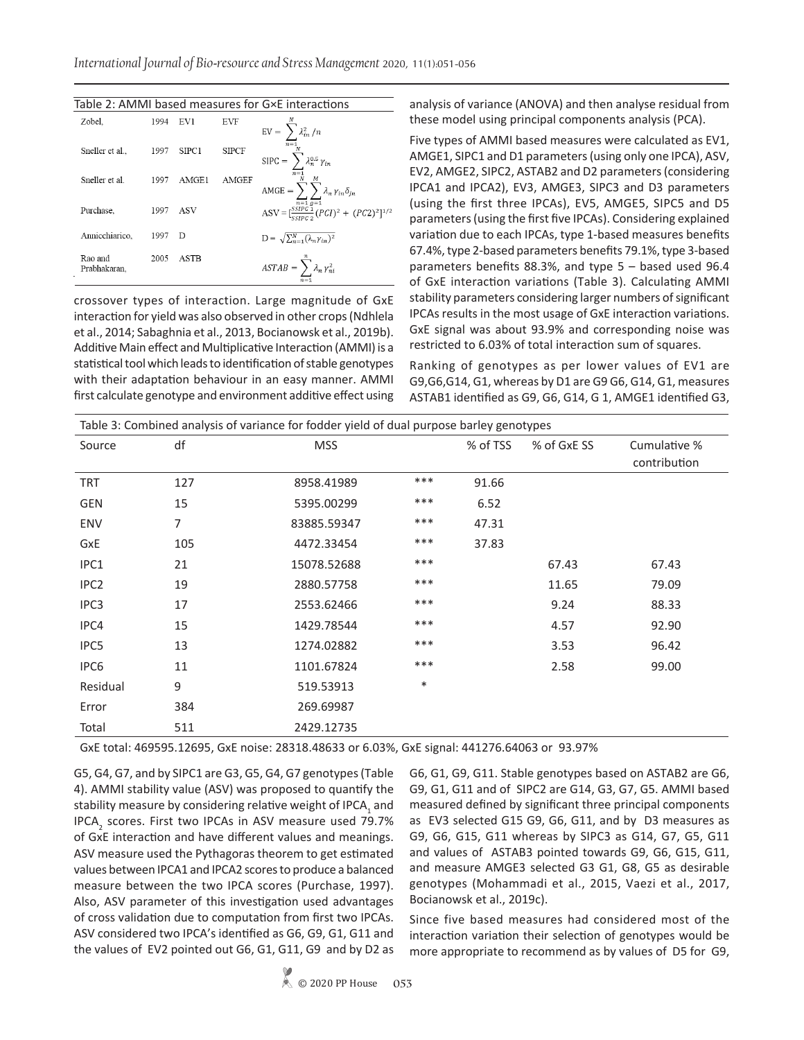| Table 2: AMMI based measures for G×E interactions |      |                   |              |                                                                                  |  |  |  |  |
|---------------------------------------------------|------|-------------------|--------------|----------------------------------------------------------------------------------|--|--|--|--|
| Zobel.                                            | 1994 | EV1               | EVF          | $\text{EV} = \sum_{n=1}^n \lambda_{in}^2 / n$                                    |  |  |  |  |
| Sneller et al                                     | 1997 | SIPC <sub>1</sub> | <b>SIPCF</b> | $\text{SIPC} = \sum \lambda_n^{0.5} \, \gamma_{in}$                              |  |  |  |  |
| Sneller et al.                                    | 1997 | AMGE1             | <b>AMGEF</b> | $AMGE = \sum_i \sum_j \lambda_n \gamma_{in} \delta_{jn}$                         |  |  |  |  |
| Purchase.                                         | 1997 | ASV               |              | ASV = $\frac{\overline{n=1} g=1}{\frac{CSIPC}{CEDC_2} (PCI)^2 + (PC2)^2]^{1/2}}$ |  |  |  |  |
| Annicchiarico,                                    | 1997 | D                 |              | $D = \sqrt{\sum_{n=1}^{N} (\lambda_n \gamma_{in})^2}$                            |  |  |  |  |
| Rao and<br>Prabhakaran.                           | 2005 | ASTB              |              | $ASTAB = \sum \lambda_n \gamma_{ni}^2$                                           |  |  |  |  |

crossover types of interaction. Large magnitude of GxE interaction for yield was also observed in other crops (Ndhlela et al., 2014; Sabaghnia et al., 2013, Bocianowsk et al., 2019b). Additive Main effect and Multiplicative Interaction (AMMI) is a statistical tool which leads to identification of stable genotypes with their adaptation behaviour in an easy manner. AMMI first calculate genotype and environment additive effect using analysis of variance (ANOVA) and then analyse residual from these model using principal components analysis (PCA).

Five types of AMMI based measures were calculated as EV1, AMGE1, SIPC1 and D1 parameters (using only one IPCA), ASV, EV2, AMGE2, SIPC2, ASTAB2 and D2 parameters (considering IPCA1 and IPCA2), EV3, AMGE3, SIPC3 and D3 parameters (using the first three IPCAs), EV5, AMGE5, SIPC5 and D5 parameters (using the first five IPCAs). Considering explained variation due to each IPCAs, type 1-based measures benefits 67.4%, type 2-based parameters benefits 79.1%, type 3-based parameters benefits 88.3%, and type 5 – based used 96.4 of GxE interaction variations (Table 3). Calculating AMMI stability parameters considering larger numbers of significant IPCAs results in the most usage of GxE interaction variations. GxE signal was about 93.9% and corresponding noise was restricted to 6.03% of total interaction sum of squares.

Ranking of genotypes as per lower values of EV1 are G9,G6,G14, G1, whereas by D1 are G9 G6, G14, G1, measures ASTAB1 identified as G9, G6, G14, G 1, AMGE1 identified G3,

|                  |     | Table 3: Combined analysis of variance for fodder yield of dual purpose barley genotypes |        |          |             |                              |
|------------------|-----|------------------------------------------------------------------------------------------|--------|----------|-------------|------------------------------|
| Source           | df  | <b>MSS</b>                                                                               |        | % of TSS | % of GxE SS | Cumulative %<br>contribution |
| <b>TRT</b>       | 127 | 8958.41989                                                                               | ***    | 91.66    |             |                              |
| <b>GEN</b>       | 15  | 5395.00299                                                                               | ***    | 6.52     |             |                              |
| <b>ENV</b>       | 7   | 83885.59347                                                                              | ***    | 47.31    |             |                              |
| GxE              | 105 | 4472.33454                                                                               | ***    | 37.83    |             |                              |
| IPC1             | 21  | 15078.52688                                                                              | ***    |          | 67.43       | 67.43                        |
| IPC <sub>2</sub> | 19  | 2880.57758                                                                               | ***    |          | 11.65       | 79.09                        |
| IPC <sub>3</sub> | 17  | 2553.62466                                                                               | $***$  |          | 9.24        | 88.33                        |
| IPC4             | 15  | 1429.78544                                                                               | ***    |          | 4.57        | 92.90                        |
| IPC5             | 13  | 1274.02882                                                                               | ***    |          | 3.53        | 96.42                        |
| IPC <sub>6</sub> | 11  | 1101.67824                                                                               | ***    |          | 2.58        | 99.00                        |
| Residual         | 9   | 519.53913                                                                                | $\ast$ |          |             |                              |
| Error            | 384 | 269.69987                                                                                |        |          |             |                              |
| Total            | 511 | 2429.12735                                                                               |        |          |             |                              |

GxE total: 469595.12695, GxE noise: 28318.48633 or 6.03%, GxE signal: 441276.64063 or 93.97%

G5, G4, G7, and by SIPC1 are G3, G5, G4, G7 genotypes (Table 4). AMMI stability value (ASV) was proposed to quantify the stability measure by considering relative weight of IPCA<sub>1</sub> and IPCA<sub>2</sub> scores. First two IPCAs in ASV measure used 79.7% of GxE interaction and have different values and meanings. ASV measure used the Pythagoras theorem to get estimated values between IPCA1 and IPCA2 scores to produce a balanced measure between the two IPCA scores (Purchase, 1997). Also, ASV parameter of this investigation used advantages of cross validation due to computation from first two IPCAs. ASV considered two IPCA's identified as G6, G9, G1, G11 and the values of EV2 pointed out G6, G1, G11, G9 and by D2 as

G6, G1, G9, G11. Stable genotypes based on ASTAB2 are G6, G9, G1, G11 and of SIPC2 are G14, G3, G7, G5. AMMI based measured defined by significant three principal components as EV3 selected G15 G9, G6, G11, and by D3 measures as G9, G6, G15, G11 whereas by SIPC3 as G14, G7, G5, G11 and values of ASTAB3 pointed towards G9, G6, G15, G11, and measure AMGE3 selected G3 G1, G8, G5 as desirable genotypes (Mohammadi et al., 2015, Vaezi et al., 2017, Bocianowsk et al., 2019c).

Since five based measures had considered most of the interaction variation their selection of genotypes would be more appropriate to recommend as by values of D5 for G9,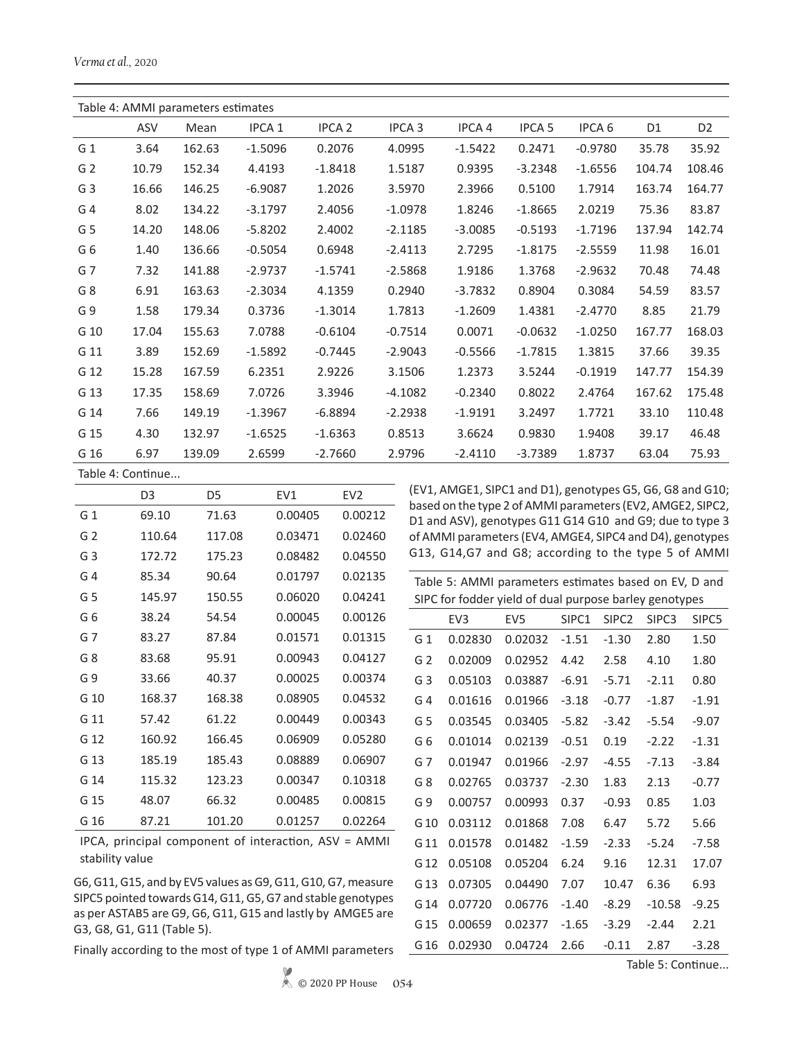|                | Table 4: AMMI parameters estimates |        |                   |               |                   |           |               |                   |                |                |
|----------------|------------------------------------|--------|-------------------|---------------|-------------------|-----------|---------------|-------------------|----------------|----------------|
|                | ASV                                | Mean   | IPCA <sub>1</sub> | <b>IPCA 2</b> | IPCA <sub>3</sub> | IPCA 4    | <b>IPCA 5</b> | IPCA <sub>6</sub> | D <sub>1</sub> | D <sub>2</sub> |
| G <sub>1</sub> | 3.64                               | 162.63 | $-1.5096$         | 0.2076        | 4.0995            | $-1.5422$ | 0.2471        | $-0.9780$         | 35.78          | 35.92          |
| G <sub>2</sub> | 10.79                              | 152.34 | 4.4193            | $-1.8418$     | 1.5187            | 0.9395    | $-3.2348$     | $-1.6556$         | 104.74         | 108.46         |
| G <sub>3</sub> | 16.66                              | 146.25 | $-6.9087$         | 1.2026        | 3.5970            | 2.3966    | 0.5100        | 1.7914            | 163.74         | 164.77         |
| G <sub>4</sub> | 8.02                               | 134.22 | $-3.1797$         | 2.4056        | $-1.0978$         | 1.8246    | $-1.8665$     | 2.0219            | 75.36          | 83.87          |
| G <sub>5</sub> | 14.20                              | 148.06 | $-5.8202$         | 2.4002        | $-2.1185$         | $-3.0085$ | $-0.5193$     | $-1.7196$         | 137.94         | 142.74         |
| G6             | 1.40                               | 136.66 | $-0.5054$         | 0.6948        | $-2.4113$         | 2.7295    | $-1.8175$     | $-2.5559$         | 11.98          | 16.01          |
| G <sub>7</sub> | 7.32                               | 141.88 | $-2.9737$         | $-1.5741$     | $-2.5868$         | 1.9186    | 1.3768        | $-2.9632$         | 70.48          | 74.48          |
| G <sub>8</sub> | 6.91                               | 163.63 | $-2.3034$         | 4.1359        | 0.2940            | $-3.7832$ | 0.8904        | 0.3084            | 54.59          | 83.57          |
| G9             | 1.58                               | 179.34 | 0.3736            | $-1.3014$     | 1.7813            | $-1.2609$ | 1.4381        | $-2.4770$         | 8.85           | 21.79          |
| G 10           | 17.04                              | 155.63 | 7.0788            | $-0.6104$     | $-0.7514$         | 0.0071    | $-0.0632$     | $-1.0250$         | 167.77         | 168.03         |
| G 11           | 3.89                               | 152.69 | $-1.5892$         | $-0.7445$     | $-2.9043$         | $-0.5566$ | $-1.7815$     | 1.3815            | 37.66          | 39.35          |
| G 12           | 15.28                              | 167.59 | 6.2351            | 2.9226        | 3.1506            | 1.2373    | 3.5244        | $-0.1919$         | 147.77         | 154.39         |
| G 13           | 17.35                              | 158.69 | 7.0726            | 3.3946        | $-4.1082$         | $-0.2340$ | 0.8022        | 2.4764            | 167.62         | 175.48         |
| G 14           | 7.66                               | 149.19 | $-1.3967$         | $-6.8894$     | $-2.2938$         | $-1.9191$ | 3.2497        | 1.7721            | 33.10          | 110.48         |
| G 15           | 4.30                               | 132.97 | $-1.6525$         | $-1.6363$     | 0.8513            | 3.6624    | 0.9830        | 1.9408            | 39.17          | 46.48          |
| G 16           | 6.97                               | 139.09 | 2.6599            | $-2.7660$     | 2.9796            | $-2.4110$ | $-3.7389$     | 1.8737            | 63.04          | 75.93          |
|                | Table 4: Continue                  |        |                   |               |                   |           |               |                   |                |                |

|                | D3     | D5     | FV <sub>1</sub> | EV <sub>2</sub> |
|----------------|--------|--------|-----------------|-----------------|
| G <sub>1</sub> | 69.10  | 71.63  | 0.00405         | 0.00212         |
| G <sub>2</sub> | 110.64 | 117.08 | 0.03471         | 0.02460         |
| G <sub>3</sub> | 172.72 | 175.23 | 0.08482         | 0.04550         |
| G 4            | 85.34  | 90.64  | 0.01797         | 0.02135         |
| G <sub>5</sub> | 145.97 | 150.55 | 0.06020         | 0.04241         |
| G 6            | 38.24  | 54.54  | 0.00045         | 0.00126         |
| G 7            | 83.27  | 87.84  | 0.01571         | 0.01315         |
| G8             | 83.68  | 95.91  | 0.00943         | 0.04127         |
| G 9            | 33.66  | 40.37  | 0.00025         | 0.00374         |
| G 10           | 168.37 | 168.38 | 0.08905         | 0.04532         |
| G 11           | 57.42  | 61.22  | 0.00449         | 0.00343         |
| G 12           | 160.92 | 166.45 | 0.06909         | 0.05280         |
| G 13           | 185.19 | 185.43 | 0.08889         | 0.06907         |
| G 14           | 115.32 | 123.23 | 0.00347         | 0.10318         |
| G 15           | 48.07  | 66.32  | 0.00485         | 0.00815         |
| G 16           | 87.21  | 101.20 | 0.01257         | 0.02264         |

IPCA, principal component of interaction, ASV = AMMI stability value

G6, G11, G15, and by EV5 values as G9, G11, G10, G7, measure SIPC5 pointed towards G14, G11, G5, G7 and stable genotypes as per ASTAB5 are G9, G6, G11, G15 and lastly by AMGE5 are G3, G8, G1, G11 (Table 5).

Finally according to the most of type 1 of AMMI parameters

© 2020 PP House **054**

(EV1, AMGE1, SIPC1 and D1), genotypes G5, G6, G8 and G10; based on the type 2 of AMMI parameters (EV2, AMGE2, SIPC2, D1 and ASV), genotypes G11 G14 G10 and G9; due to type 3 of AMMI parameters (EV4, AMGE4, SIPC4 and D4), genotypes G13, G14,G7 and G8; according to the type 5 of AMMI

| Table 5: AMMI parameters estimates based on EV, D and |                                                        |                 |         |                   |                   |         |  |  |
|-------------------------------------------------------|--------------------------------------------------------|-----------------|---------|-------------------|-------------------|---------|--|--|
|                                                       | SIPC for fodder yield of dual purpose barley genotypes |                 |         |                   |                   |         |  |  |
|                                                       | EV <sub>3</sub>                                        | EV <sub>5</sub> | SIPC1   | SIPC <sub>2</sub> | SIPC <sub>3</sub> | SIPC5   |  |  |
| G <sub>1</sub>                                        | 0.02830                                                | 0.02032         | $-1.51$ | $-1.30$           | 2.80              | 1.50    |  |  |
| G <sub>2</sub>                                        | 0.02009                                                | 0.02952         | 4.42    | 2.58              | 4.10              | 1.80    |  |  |
| G3                                                    | 0.05103                                                | 0.03887         | $-6.91$ | $-5.71$           | $-2.11$           | 0.80    |  |  |
| G <sub>4</sub>                                        | 0.01616                                                | 0.01966         | $-3.18$ | $-0.77$           | $-1.87$           | $-1.91$ |  |  |
| G 5                                                   | 0.03545                                                | 0.03405         | $-5.82$ | $-3.42$           | $-5.54$           | $-9.07$ |  |  |
| G 6                                                   | 0.01014                                                | 0.02139         | $-0.51$ | 0.19              | $-2.22$           | $-1.31$ |  |  |
| G 7                                                   | 0.01947                                                | 0.01966         | $-2.97$ | $-4.55$           | $-7.13$           | $-3.84$ |  |  |
| G8                                                    | 0.02765                                                | 0.03737         | $-2.30$ | 1.83              | 2.13              | $-0.77$ |  |  |
| G 9                                                   | 0.00757                                                | 0.00993         | 0.37    | $-0.93$           | 0.85              | 1.03    |  |  |
| G 10                                                  | 0.03112                                                | 0.01868         | 7.08    | 6.47              | 5.72              | 5.66    |  |  |
| G 11                                                  | 0.01578                                                | 0.01482         | $-1.59$ | $-2.33$           | $-5.24$           | $-7.58$ |  |  |
| G 12                                                  | 0.05108                                                | 0.05204         | 6.24    | 9.16              | 12.31             | 17.07   |  |  |
| G 13                                                  | 0.07305                                                | 0.04490         | 7.07    | 10.47             | 6.36              | 6.93    |  |  |
| G 14                                                  | 0.07720                                                | 0.06776         | $-1.40$ | $-8.29$           | $-10.58$          | $-9.25$ |  |  |
| G 15                                                  | 0.00659                                                | 0.02377         | $-1.65$ | $-3.29$           | $-2.44$           | 2.21    |  |  |
| G 16                                                  | 0.02930                                                | 0.04724         | 2.66    | $-0.11$           | 2.87              | $-3.28$ |  |  |
|                                                       |                                                        |                 |         |                   |                   |         |  |  |

Table 5: Continue...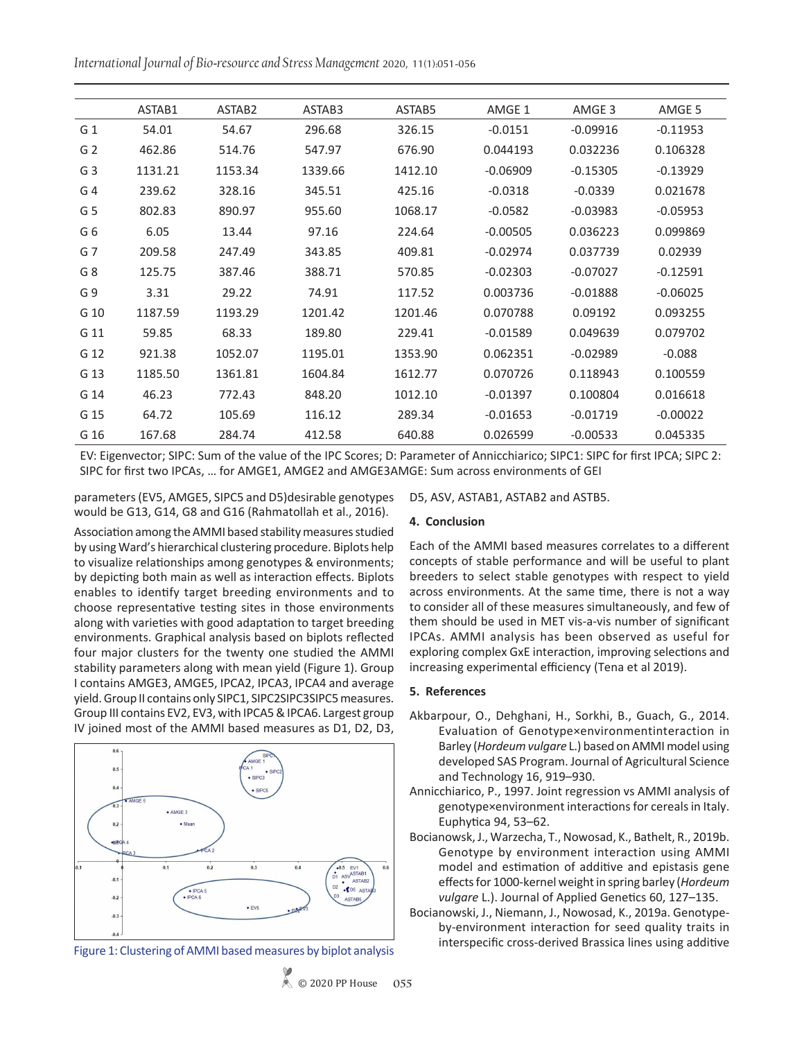*International Journal of Bio-resource and Stress Management* 2020, 11(1):051-056

|                | ASTAB1  | ASTAB <sub>2</sub> | ASTAB3  | ASTAB5  | AMGE 1     | AMGE 3     | AMGE 5     |
|----------------|---------|--------------------|---------|---------|------------|------------|------------|
| G 1            | 54.01   | 54.67              | 296.68  | 326.15  | $-0.0151$  | $-0.09916$ | $-0.11953$ |
| G <sub>2</sub> | 462.86  | 514.76             | 547.97  | 676.90  | 0.044193   | 0.032236   | 0.106328   |
| G <sub>3</sub> | 1131.21 | 1153.34            | 1339.66 | 1412.10 | $-0.06909$ | $-0.15305$ | $-0.13929$ |
| G <sub>4</sub> | 239.62  | 328.16             | 345.51  | 425.16  | $-0.0318$  | $-0.0339$  | 0.021678   |
| G <sub>5</sub> | 802.83  | 890.97             | 955.60  | 1068.17 | $-0.0582$  | $-0.03983$ | $-0.05953$ |
| G <sub>6</sub> | 6.05    | 13.44              | 97.16   | 224.64  | $-0.00505$ | 0.036223   | 0.099869   |
| G <sub>7</sub> | 209.58  | 247.49             | 343.85  | 409.81  | $-0.02974$ | 0.037739   | 0.02939    |
| G <sub>8</sub> | 125.75  | 387.46             | 388.71  | 570.85  | $-0.02303$ | $-0.07027$ | $-0.12591$ |
| G9             | 3.31    | 29.22              | 74.91   | 117.52  | 0.003736   | $-0.01888$ | $-0.06025$ |
| G 10           | 1187.59 | 1193.29            | 1201.42 | 1201.46 | 0.070788   | 0.09192    | 0.093255   |
| G 11           | 59.85   | 68.33              | 189.80  | 229.41  | $-0.01589$ | 0.049639   | 0.079702   |
| G 12           | 921.38  | 1052.07            | 1195.01 | 1353.90 | 0.062351   | $-0.02989$ | $-0.088$   |
| G 13           | 1185.50 | 1361.81            | 1604.84 | 1612.77 | 0.070726   | 0.118943   | 0.100559   |
| G 14           | 46.23   | 772.43             | 848.20  | 1012.10 | $-0.01397$ | 0.100804   | 0.016618   |
| G 15           | 64.72   | 105.69             | 116.12  | 289.34  | $-0.01653$ | $-0.01719$ | $-0.00022$ |
| G 16           | 167.68  | 284.74             | 412.58  | 640.88  | 0.026599   | $-0.00533$ | 0.045335   |
|                |         |                    |         |         |            |            |            |

EV: Eigenvector; SIPC: Sum of the value of the IPC Scores; D: Parameter of Annicchiarico; SIPC1: SIPC for first IPCA; SIPC 2: SIPC for first two IPCAs, … for AMGE1, AMGE2 and AMGE3AMGE: Sum across environments of GEI

parameters (EV5, AMGE5, SIPC5 and D5)desirable genotypes would be G13, G14, G8 and G16 (Rahmatollah et al., 2016).

Association among the AMMI based stability measures studied by using Ward's hierarchical clustering procedure. Biplots help to visualize relationships among genotypes & environments; by depicting both main as well as interaction effects. Biplots enables to identify target breeding environments and to choose representative testing sites in those environments along with varieties with good adaptation to target breeding environments. Graphical analysis based on biplots reflected four major clusters for the twenty one studied the AMMI stability parameters along with mean yield (Figure 1). Group I contains AMGE3, AMGE5, IPCA2, IPCA3, IPCA4 and average yield. Group II contains only SIPC1, SIPC2SIPC3SIPC5 measures. Group III contains EV2, EV3, with IPCA5 & IPCA6. Largest group IV joined most of the AMMI based measures as D1, D2, D3,



Figure 1: Clustering of AMMI based measures by biplot analysis

D5, ASV, ASTAB1, ASTAB2 and ASTB5.

### **4. Conclusion**

Each of the AMMI based measures correlates to a different concepts of stable performance and will be useful to plant breeders to select stable genotypes with respect to yield across environments. At the same time, there is not a way to consider all of these measures simultaneously, and few of them should be used in MET vis-a-vis number of significant IPCAs. AMMI analysis has been observed as useful for exploring complex GxE interaction, improving selections and increasing experimental efficiency (Tena et al 2019).

## **5. References**

- Akbarpour, O., Dehghani, H., Sorkhi, B., Guach, G., 2014. Evaluation of Genotype×environmentinteraction in Barley (*Hordeum vulgare* L.) based on AMMI model using developed SAS Program. Journal of Agricultural Science and Technology 16, 919–930.
- Annicchiarico, P., 1997. Joint regression vs AMMI analysis of genotype×environment interactions for cereals in Italy. Euphytica 94, 53–62.
- Bocianowsk, J., Warzecha, T., Nowosad, K., Bathelt, R., 2019b. Genotype by environment interaction using AMMI model and estimation of additive and epistasis gene effects for 1000-kernel weight in spring barley (*Hordeum vulgare* L.). Journal of Applied Genetics 60, 127–135.
- Bocianowski, J., Niemann, J., Nowosad, K., 2019a. Genotypeby-environment interaction for seed quality traits in interspecific cross-derived Brassica lines using additive